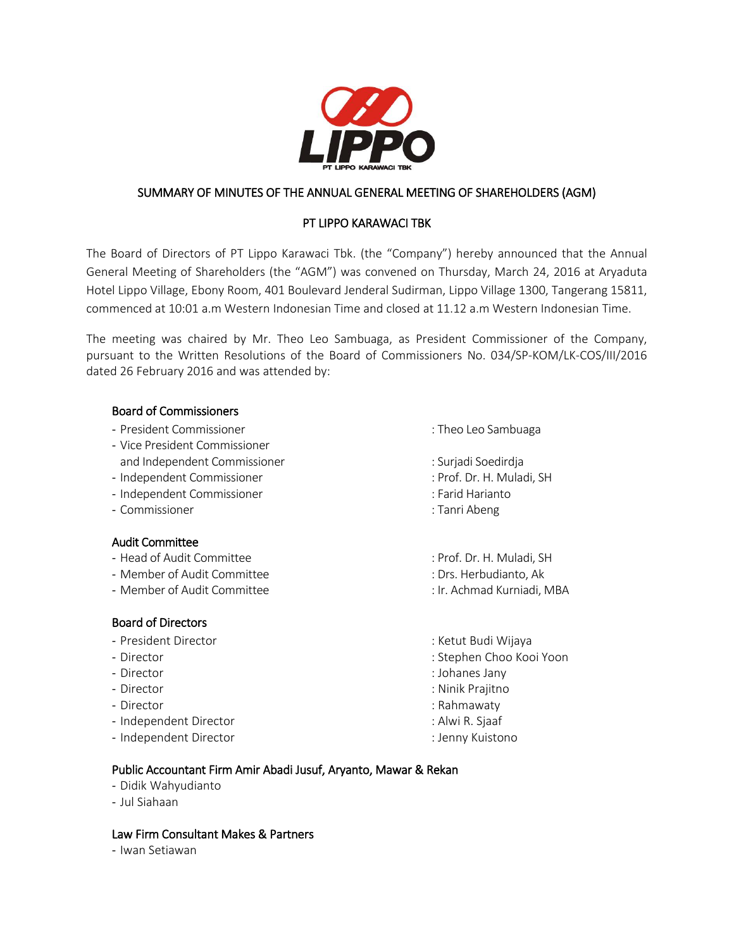

# SUMMARY OF MINUTES OF THE ANNUAL GENERAL MEETING OF SHAREHOLDERS (AGM)

# PT LIPPO KARAWACI TBK

The Board of Directors of PT Lippo Karawaci Tbk. (the "Company") hereby announced that the Annual General Meeting of Shareholders (the "AGM") was convened on Thursday, March 24, 2016 at Aryaduta Hotel Lippo Village, Ebony Room, 401 Boulevard Jenderal Sudirman, Lippo Village 1300, Tangerang 15811, commenced at 10:01 a.m Western Indonesian Time and closed at 11.12 a.m Western Indonesian Time.

The meeting was chaired by Mr. Theo Leo Sambuaga, as President Commissioner of the Company, pursuant to the Written Resolutions of the Board of Commissioners No. 034/SP-KOM/LK-COS/III/2016 dated 26 February 2016 and was attended by:

## Board of Commissioners

- President Commissioner is a matter of the state of the Sambuaga control of the Sambuaga
- Vice President Commissioner
- and Independent Commissioner in the state of the Surjadi Soedirdja
- Independent Commissioner : Prof. Dr. H. Muladi, SH
- Independent Commissioner : Farid Harianto
- Commissioner : Tanri Abeng

## Audit Committee

- Head of Audit Committee  $\overline{\phantom{a}}$ : Prof. Dr. H. Muladi, SH
- Member of Audit Committee : Drs. Herbudianto, Ak
- Member of Audit Committee : Ir. Achmad Kurniadi, MBA

## Board of Directors

- President Director : Ketut Budi Wijaya
- 
- 
- 
- 
- Independent Director : Alwi R. Sjaaf
- Independent Director : Jenny Kuistono

- 
- 
- 
- 
- 
- 
- 
- 
- Director : Stephen Choo Kooi Yoon
- Director : Johanes Jany
- Director : Ninik Prajitno
- Director in the contraction of the contraction of the contraction of the contraction of the contraction of the contraction of the contraction of the contraction of the contraction of the contraction of the contraction of
	-
	-

## Public Accountant Firm Amir Abadi Jusuf, Aryanto, Mawar & Rekan

- Didik Wahyudianto
- Jul Siahaan

## Law Firm Consultant Makes & Partners

- Iwan Setiawan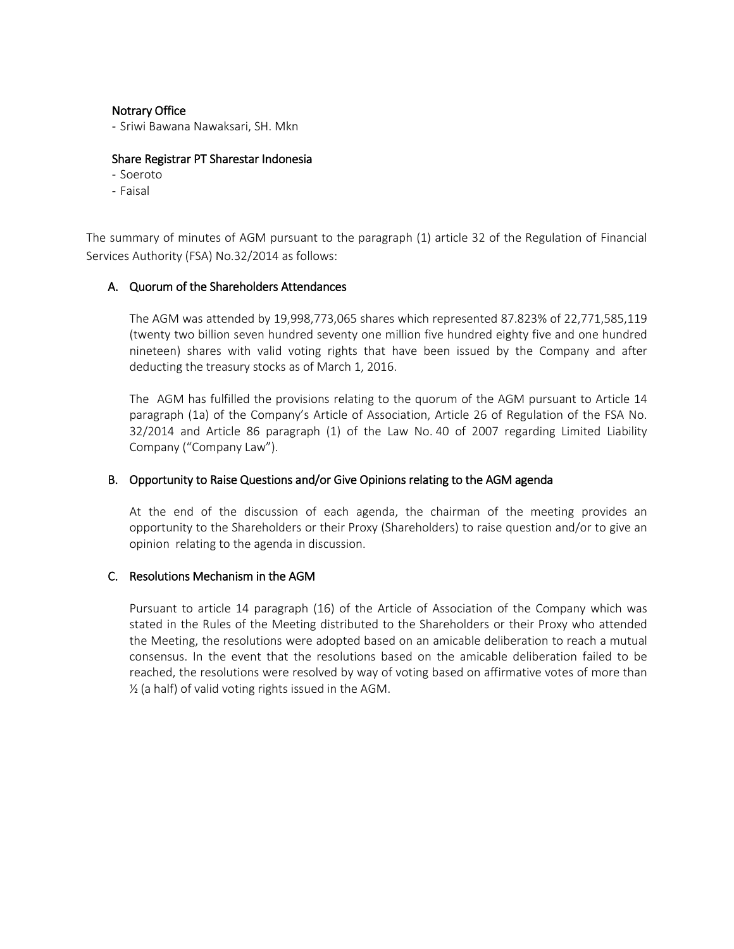#### Notrary Office

- Sriwi Bawana Nawaksari, SH. Mkn

#### Share Registrar PT Sharestar Indonesia

- Soeroto
- Faisal

The summary of minutes of AGM pursuant to the paragraph (1) article 32 of the Regulation of Financial Services Authority (FSA) No.32/2014 as follows:

## A. Quorum of the Shareholders Attendances

The AGM was attended by 19,998,773,065 shares which represented 87.823% of 22,771,585,119 (twenty two billion seven hundred seventy one million five hundred eighty five and one hundred nineteen) shares with valid voting rights that have been issued by the Company and after deducting the treasury stocks as of March 1, 2016.

The AGM has fulfilled the provisions relating to the quorum of the AGM pursuant to Article 14 paragraph (1a) of the Company's Article of Association, Article 26 of Regulation of the FSA No. 32/2014 and Article 86 paragraph (1) of the Law No. 40 of 2007 regarding Limited Liability Company ("Company Law").

#### B. Opportunity to Raise Questions and/or Give Opinions relating to the AGM agenda

At the end of the discussion of each agenda, the chairman of the meeting provides an opportunity to the Shareholders or their Proxy (Shareholders) to raise question and/or to give an opinion relating to the agenda in discussion.

## C. Resolutions Mechanism in the AGM

Pursuant to article 14 paragraph (16) of the Article of Association of the Company which was stated in the Rules of the Meeting distributed to the Shareholders or their Proxy who attended the Meeting, the resolutions were adopted based on an amicable deliberation to reach a mutual consensus. In the event that the resolutions based on the amicable deliberation failed to be reached, the resolutions were resolved by way of voting based on affirmative votes of more than ½ (a half) of valid voting rights issued in the AGM.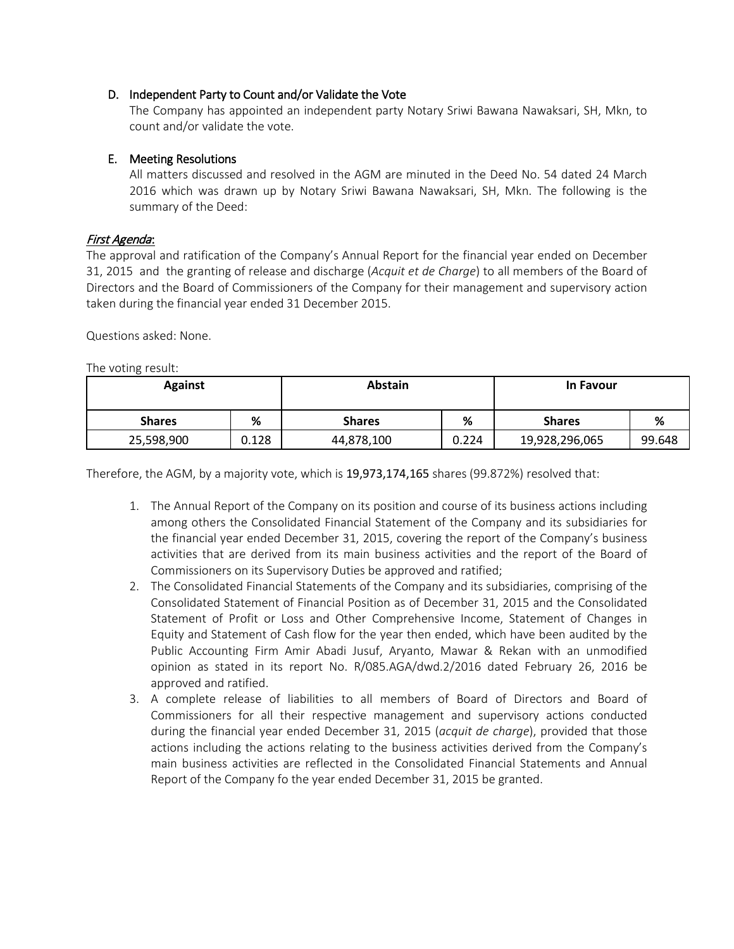## D. Independent Party to Count and/or Validate the Vote

The Company has appointed an independent party Notary Sriwi Bawana Nawaksari, SH, Mkn, to count and/or validate the vote.

# E. Meeting Resolutions

All matters discussed and resolved in the AGM are minuted in the Deed No. 54 dated 24 March 2016 which was drawn up by Notary Sriwi Bawana Nawaksari, SH, Mkn. The following is the summary of the Deed:

# First Agenda:

The approval and ratification of the Company's Annual Report for the financial year ended on December 31, 2015 and the granting of release and discharge (*Acquit et de Charge*) to all members of the Board of Directors and the Board of Commissioners of the Company for their management and supervisory action taken during the financial year ended 31 December 2015.

Questions asked: None.

The voting result:

| <b>Against</b> |       | <b>Abstain</b> |       | In Favour      |        |
|----------------|-------|----------------|-------|----------------|--------|
| <b>Shares</b>  | %     | <b>Shares</b>  | %     | <b>Shares</b>  | %      |
| 25,598,900     | 0.128 | 44,878,100     | 0.224 | 19,928,296,065 | 99.648 |

Therefore, the AGM, by a majority vote, which is 19,973,174,165 shares (99.872%) resolved that:

- 1. The Annual Report of the Company on its position and course of its business actions including among others the Consolidated Financial Statement of the Company and its subsidiaries for the financial year ended December 31, 2015, covering the report of the Company's business activities that are derived from its main business activities and the report of the Board of Commissioners on its Supervisory Duties be approved and ratified;
- 2. The Consolidated Financial Statements of the Company and its subsidiaries, comprising of the Consolidated Statement of Financial Position as of December 31, 2015 and the Consolidated Statement of Profit or Loss and Other Comprehensive Income, Statement of Changes in Equity and Statement of Cash flow for the year then ended, which have been audited by the Public Accounting Firm Amir Abadi Jusuf, Aryanto, Mawar & Rekan with an unmodified opinion as stated in its report No. R/085.AGA/dwd.2/2016 dated February 26, 2016 be approved and ratified.
- 3. A complete release of liabilities to all members of Board of Directors and Board of Commissioners for all their respective management and supervisory actions conducted during the financial year ended December 31, 2015 (*acquit de charge*), provided that those actions including the actions relating to the business activities derived from the Company's main business activities are reflected in the Consolidated Financial Statements and Annual Report of the Company fo the year ended December 31, 2015 be granted.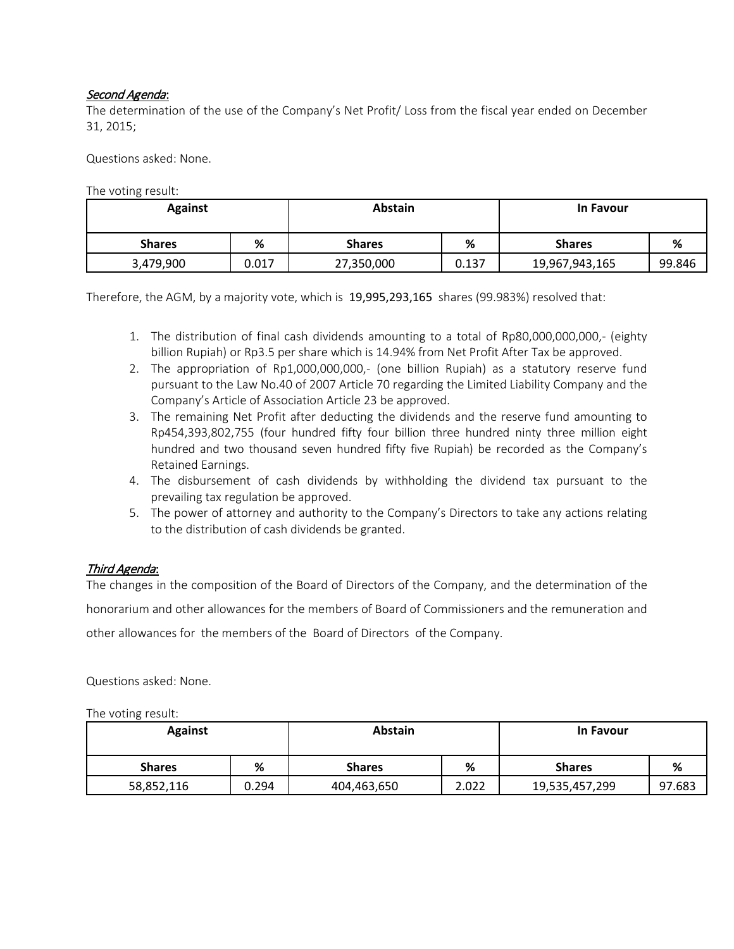# Second Agenda:

The determination of the use of the Company's Net Profit/ Loss from the fiscal year ended on December 31, 2015;

Questions asked: None.

The voting result:

| <b>Against</b> |       | Abstain       |       | <b>In Favour</b> |        |
|----------------|-------|---------------|-------|------------------|--------|
| <b>Shares</b>  | %     | <b>Shares</b> | %     | <b>Shares</b>    | %      |
| 3,479,900      | 0.017 | 27,350,000    | 0.137 | 19,967,943,165   | 99.846 |

Therefore, the AGM, by a majority vote, which is 19,995,293,165 shares (99.983%) resolved that:

- 1. The distribution of final cash dividends amounting to a total of Rp80,000,000,000,- (eighty billion Rupiah) or Rp3.5 per share which is 14.94% from Net Profit After Tax be approved.
- 2. The appropriation of Rp1,000,000,000,- (one billion Rupiah) as a statutory reserve fund pursuant to the Law No.40 of 2007 Article 70 regarding the Limited Liability Company and the Company's Article of Association Article 23 be approved.
- 3. The remaining Net Profit after deducting the dividends and the reserve fund amounting to Rp454,393,802,755 (four hundred fifty four billion three hundred ninty three million eight hundred and two thousand seven hundred fifty five Rupiah) be recorded as the Company's Retained Earnings.
- 4. The disbursement of cash dividends by withholding the dividend tax pursuant to the prevailing tax regulation be approved.
- 5. The power of attorney and authority to the Company's Directors to take any actions relating to the distribution of cash dividends be granted.

# Third Agenda:

The changes in the composition of the Board of Directors of the Company, and the determination of the honorarium and other allowances for the members of Board of Commissioners and the remuneration and other allowances for the members of the Board of Directors of the Company.

Questions asked: None.

The voting result:

| <b>Against</b> |       | <b>Abstain</b> |       | <b>In Favour</b> |        |
|----------------|-------|----------------|-------|------------------|--------|
| <b>Shares</b>  | %     | <b>Shares</b>  | %     | <b>Shares</b>    | %      |
| 58,852,116     | 0.294 | 404,463,650    | 2.022 | 19,535,457,299   | 97.683 |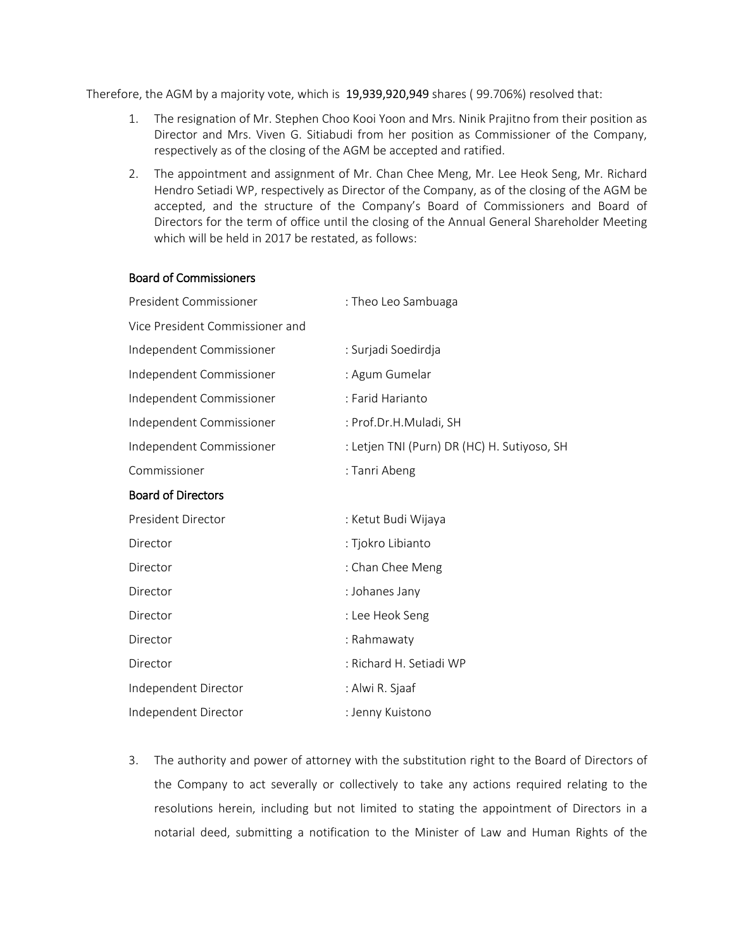Therefore, the AGM by a majority vote, which is 19,939,920,949 shares ( 99.706%) resolved that:

- 1. The resignation of Mr. Stephen Choo Kooi Yoon and Mrs. Ninik Prajitno from their position as Director and Mrs. Viven G. Sitiabudi from her position as Commissioner of the Company, respectively as of the closing of the AGM be accepted and ratified.
- 2. The appointment and assignment of Mr. Chan Chee Meng, Mr. Lee Heok Seng, Mr. Richard Hendro Setiadi WP, respectively as Director of the Company, as of the closing of the AGM be accepted, and the structure of the Company's Board of Commissioners and Board of Directors for the term of office until the closing of the Annual General Shareholder Meeting which will be held in 2017 be restated, as follows:

#### Board of Commissioners

| President Commissioner          | : Theo Leo Sambuaga                         |
|---------------------------------|---------------------------------------------|
| Vice President Commissioner and |                                             |
| Independent Commissioner        | : Surjadi Soedirdja                         |
| Independent Commissioner        | : Agum Gumelar                              |
| Independent Commissioner        | : Farid Harianto                            |
| Independent Commissioner        | : Prof.Dr.H.Muladi, SH                      |
| Independent Commissioner        | : Letjen TNI (Purn) DR (HC) H. Sutiyoso, SH |
| Commissioner                    | : Tanri Abeng                               |
| <b>Board of Directors</b>       |                                             |
| President Director              | : Ketut Budi Wijaya                         |
| Director                        | : Tjokro Libianto                           |
| Director                        | : Chan Chee Meng                            |
| Director                        | : Johanes Jany                              |
| Director                        | : Lee Heok Seng                             |
| Director                        | : Rahmawaty                                 |
| Director                        | : Richard H. Setiadi WP                     |
| Independent Director            | : Alwi R. Sjaaf                             |
| Independent Director            | : Jenny Kuistono                            |

3. The authority and power of attorney with the substitution right to the Board of Directors of the Company to act severally or collectively to take any actions required relating to the resolutions herein, including but not limited to stating the appointment of Directors in a notarial deed, submitting a notification to the Minister of Law and Human Rights of the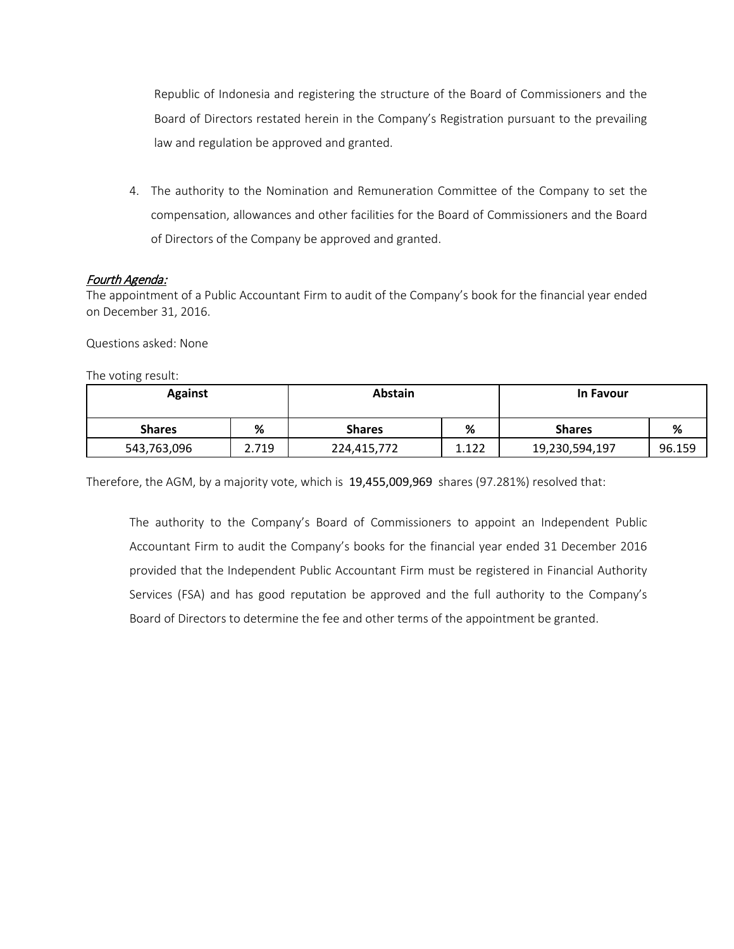Republic of Indonesia and registering the structure of the Board of Commissioners and the Board of Directors restated herein in the Company's Registration pursuant to the prevailing law and regulation be approved and granted.

4. The authority to the Nomination and Remuneration Committee of the Company to set the compensation, allowances and other facilities for the Board of Commissioners and the Board of Directors of the Company be approved and granted.

# Fourth Agenda:

The appointment of a Public Accountant Firm to audit of the Company's book for the financial year ended on December 31, 2016.

Questions asked: None

The voting result:

| <b>Against</b> |       | <b>Abstain</b> |       | In Favour      |        |
|----------------|-------|----------------|-------|----------------|--------|
| <b>Shares</b>  | %     | <b>Shares</b>  | %     | <b>Shares</b>  | %      |
| 543,763,096    | 2.719 | 224,415,772    | 1.122 | 19,230,594,197 | 96.159 |

Therefore, the AGM, by a majority vote, which is 19,455,009,969 shares (97.281%) resolved that:

The authority to the Company's Board of Commissioners to appoint an Independent Public Accountant Firm to audit the Company's books for the financial year ended 31 December 2016 provided that the Independent Public Accountant Firm must be registered in Financial Authority Services (FSA) and has good reputation be approved and the full authority to the Company's Board of Directors to determine the fee and other terms of the appointment be granted.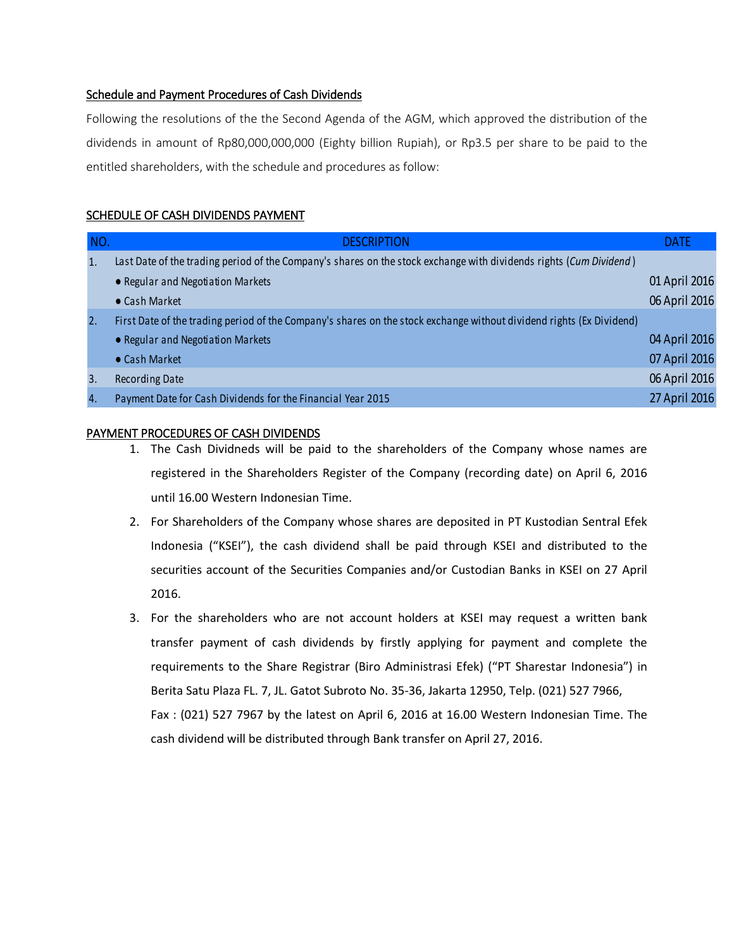## Schedule and Payment Procedures of Cash Dividends

Following the resolutions of the the Second Agenda of the AGM, which approved the distribution of the dividends in amount of Rp80,000,000,000 (Eighty billion Rupiah), or Rp3.5 per share to be paid to the entitled shareholders, with the schedule and procedures as follow:

# SCHEDULE OF CASH DIVIDENDS PAYMENT

| NO.              | <b>DESCRIPTION</b>                                                                                                   | <b>DATE</b>   |
|------------------|----------------------------------------------------------------------------------------------------------------------|---------------|
| $\mathbf{1}$     | Last Date of the trading period of the Company's shares on the stock exchange with dividends rights (Cum Dividend)   |               |
|                  | • Regular and Negotiation Markets                                                                                    | 01 April 2016 |
|                  | $\bullet$ Cash Market                                                                                                | 06 April 2016 |
| 2.               | First Date of the trading period of the Company's shares on the stock exchange without dividend rights (Ex Dividend) |               |
|                  | • Regular and Negotiation Markets                                                                                    | 04 April 2016 |
|                  | • Cash Market                                                                                                        | 07 April 2016 |
| $\overline{3}$ . | <b>Recording Date</b>                                                                                                | 06 April 2016 |
| $\overline{4}$ . | Payment Date for Cash Dividends for the Financial Year 2015                                                          | 27 April 2016 |

#### PAYMENT PROCEDURES OF CASH DIVIDENDS

- 1. The Cash Dividneds will be paid to the shareholders of the Company whose names are registered in the Shareholders Register of the Company (recording date) on April 6, 2016 until 16.00 Western Indonesian Time.
- 2. For Shareholders of the Company whose shares are deposited in PT Kustodian Sentral Efek Indonesia ("KSEI"), the cash dividend shall be paid through KSEI and distributed to the securities account of the Securities Companies and/or Custodian Banks in KSEI on 27 April 2016.
- 3. For the shareholders who are not account holders at KSEI may request a written bank transfer payment of cash dividends by firstly applying for payment and complete the requirements to the Share Registrar (Biro Administrasi Efek) ("PT Sharestar Indonesia") in Berita Satu Plaza FL. 7, JL. Gatot Subroto No. 35-36, Jakarta 12950, Telp. (021) 527 7966, Fax : (021) 527 7967 by the latest on April 6, 2016 at 16.00 Western Indonesian Time. The cash dividend will be distributed through Bank transfer on April 27, 2016.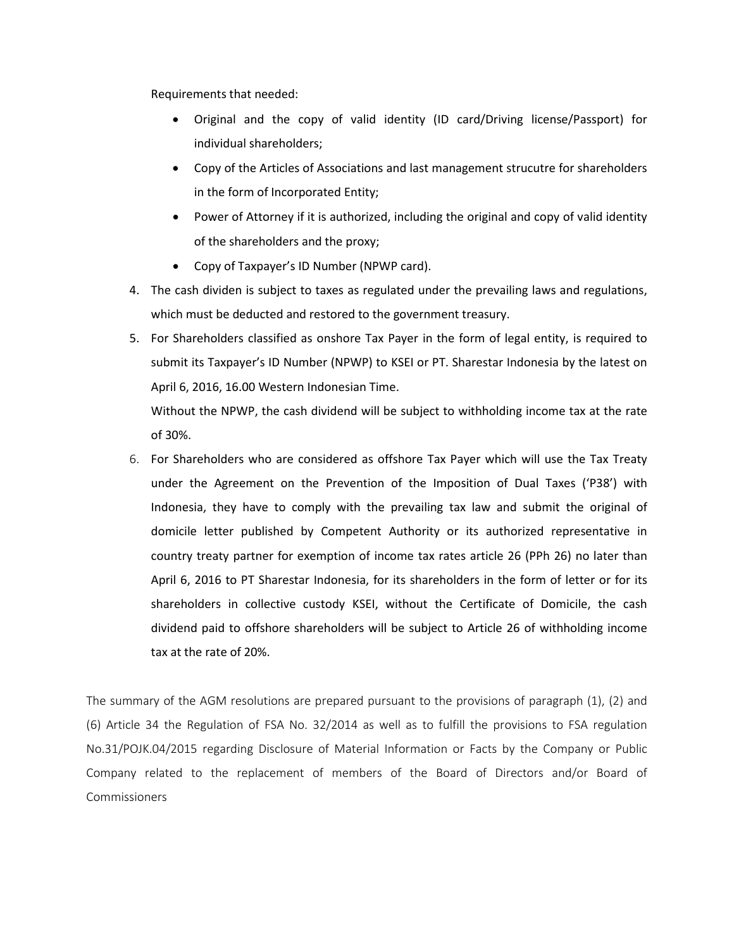Requirements that needed:

- Original and the copy of valid identity (ID card/Driving license/Passport) for individual shareholders;
- Copy of the Articles of Associations and last management strucutre for shareholders in the form of Incorporated Entity;
- Power of Attorney if it is authorized, including the original and copy of valid identity of the shareholders and the proxy;
- Copy of Taxpayer's ID Number (NPWP card).
- 4. The cash dividen is subject to taxes as regulated under the prevailing laws and regulations, which must be deducted and restored to the government treasury.
- 5. For Shareholders classified as onshore Tax Payer in the form of legal entity, is required to submit its Taxpayer's ID Number (NPWP) to KSEI or PT. Sharestar Indonesia by the latest on April 6, 2016, 16.00 Western Indonesian Time.

Without the NPWP, the cash dividend will be subject to withholding income tax at the rate of 30%.

6. For Shareholders who are considered as offshore Tax Payer which will use the Tax Treaty under the Agreement on the Prevention of the Imposition of Dual Taxes ('P38') with Indonesia, they have to comply with the prevailing tax law and submit the original of domicile letter published by Competent Authority or its authorized representative in country treaty partner for exemption of income tax rates article 26 (PPh 26) no later than April 6, 2016 to PT Sharestar Indonesia, for its shareholders in the form of letter or for its shareholders in collective custody KSEI, without the Certificate of Domicile, the cash dividend paid to offshore shareholders will be subject to Article 26 of withholding income tax at the rate of 20%.

The summary of the AGM resolutions are prepared pursuant to the provisions of paragraph (1), (2) and (6) Article 34 the Regulation of FSA No. 32/2014 as well as to fulfill the provisions to FSA regulation No.31/POJK.04/2015 regarding Disclosure of Material Information or Facts by the Company or Public Company related to the replacement of members of the Board of Directors and/or Board of Commissioners